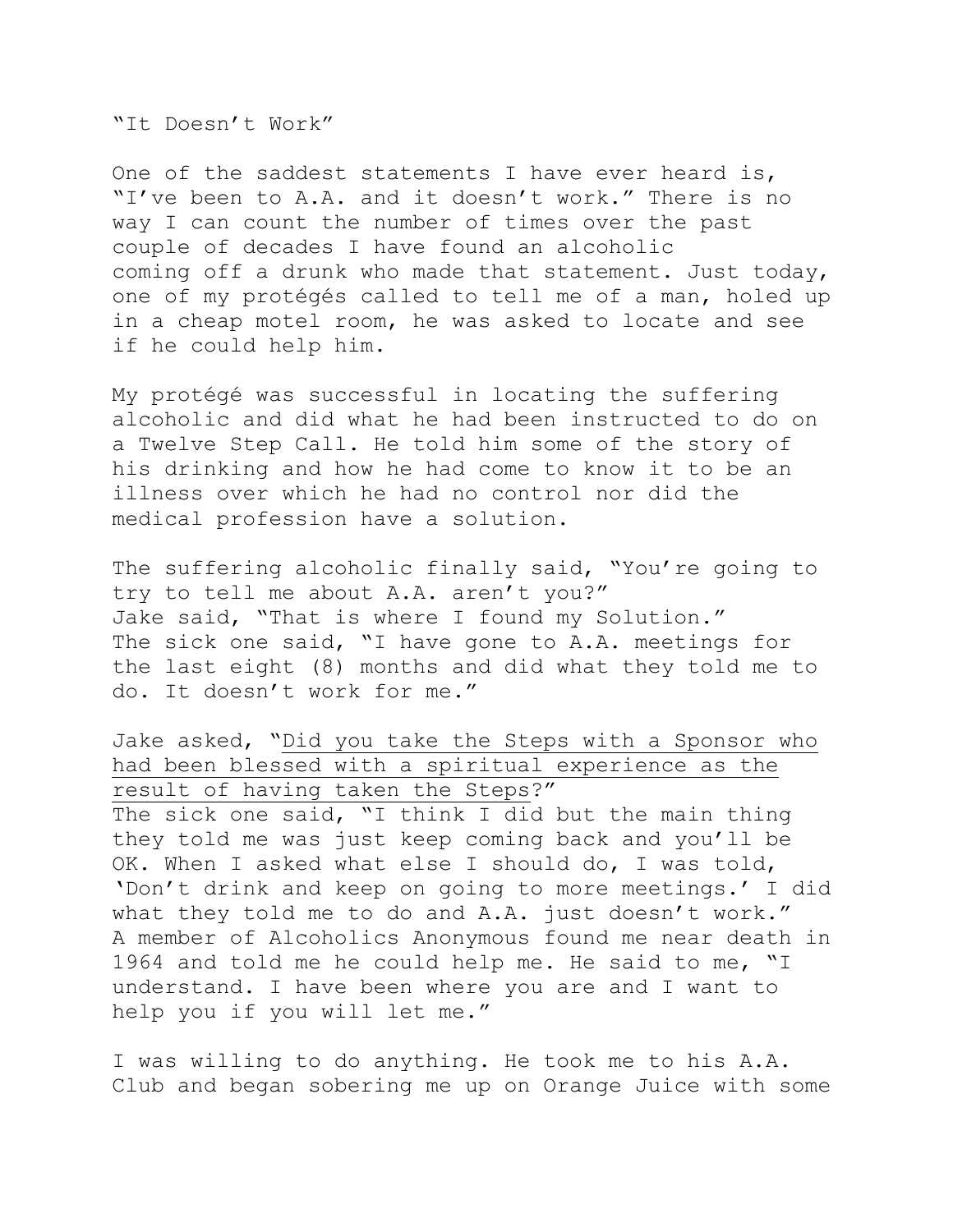"It Doesn't Work"

One of the saddest statements I have ever heard is, "I've been to A.A. and it doesn't work." There is no way I can count the number of times over the past couple of decades I have found an alcoholic coming off a drunk who made that statement. Just today, one of my protégés called to tell me of a man, holed up in a cheap motel room, he was asked to locate and see if he could help him.

My protégé was successful in locating the suffering alcoholic and did what he had been instructed to do on a Twelve Step Call. He told him some of the story of his drinking and how he had come to know it to be an illness over which he had no control nor did the medical profession have a solution.

The suffering alcoholic finally said, "You're going to try to tell me about A.A. aren't you?" Jake said, "That is where I found my Solution." The sick one said, "I have gone to A.A. meetings for the last eight (8) months and did what they told me to do. It doesn't work for me."

Jake asked, "Did you take the Steps with a Sponsor who had been blessed with a spiritual experience as the result of having taken the Steps?" The sick one said, "I think I did but the main thing they told me was just keep coming back and you'll be OK. When I asked what else I should do, I was told, 'Don't drink and keep on going to more meetings.' I did what they told me to do and A.A. just doesn't work." A member of Alcoholics Anonymous found me near death in 1964 and told me he could help me. He said to me, "I understand. I have been where you are and I want to help you if you will let me."

I was willing to do anything. He took me to his A.A. Club and began sobering me up on Orange Juice with some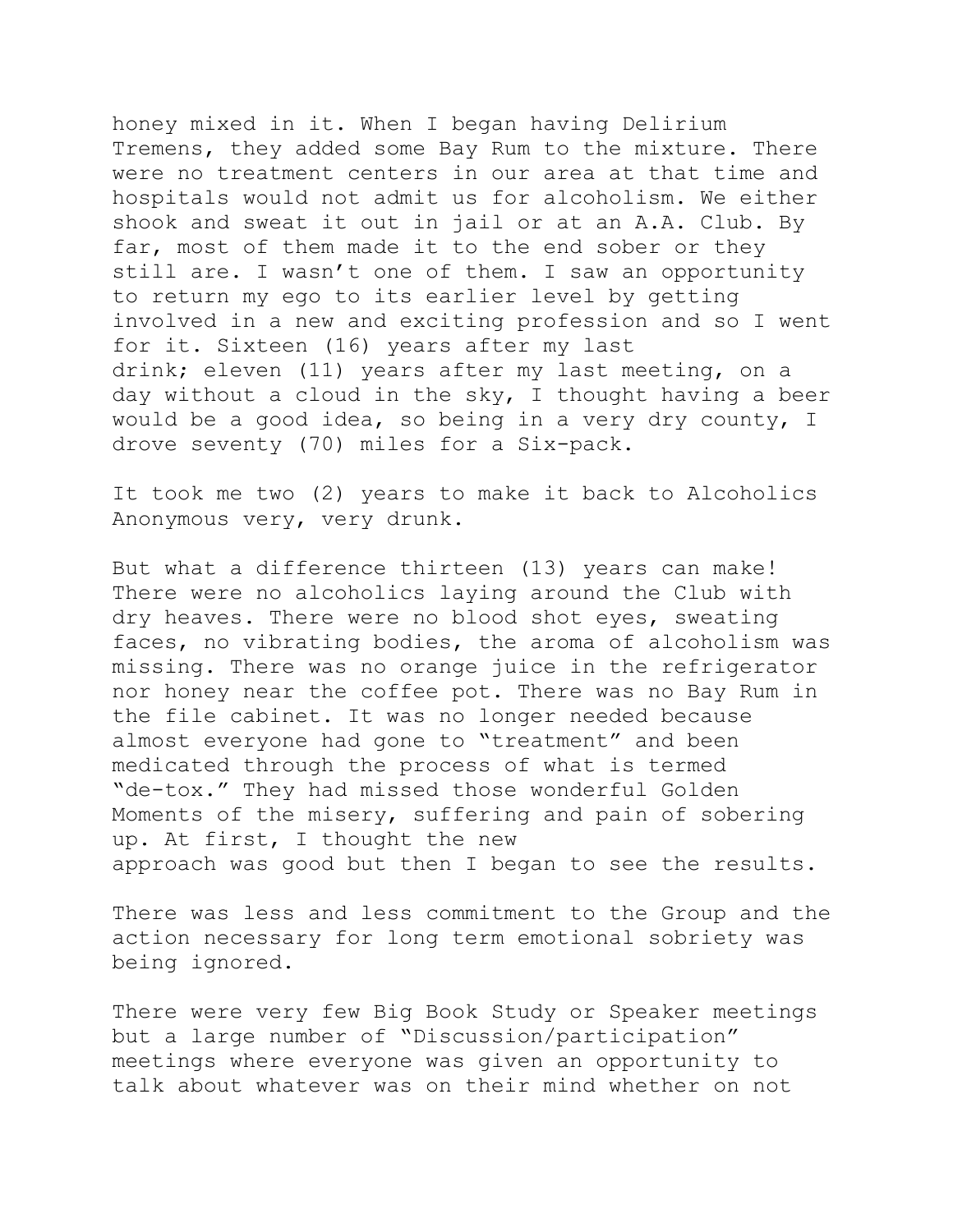honey mixed in it. When I began having Delirium Tremens, they added some Bay Rum to the mixture. There were no treatment centers in our area at that time and hospitals would not admit us for alcoholism. We either shook and sweat it out in jail or at an A.A. Club. By far, most of them made it to the end sober or they still are. I wasn't one of them. I saw an opportunity to return my ego to its earlier level by getting involved in a new and exciting profession and so I went for it. Sixteen (16) years after my last drink; eleven (11) years after my last meeting, on a day without a cloud in the sky, I thought having a beer would be a good idea, so being in a very dry county, I drove seventy (70) miles for a Six-pack.

It took me two (2) years to make it back to Alcoholics Anonymous very, very drunk.

But what a difference thirteen (13) years can make! There were no alcoholics laying around the Club with dry heaves. There were no blood shot eyes, sweating faces, no vibrating bodies, the aroma of alcoholism was missing. There was no orange juice in the refrigerator nor honey near the coffee pot. There was no Bay Rum in the file cabinet. It was no longer needed because almost everyone had gone to "treatment" and been medicated through the process of what is termed "de-tox." They had missed those wonderful Golden Moments of the misery, suffering and pain of sobering up. At first, I thought the new approach was good but then I began to see the results.

There was less and less commitment to the Group and the action necessary for long term emotional sobriety was being ignored.

There were very few Big Book Study or Speaker meetings but a large number of "Discussion/participation" meetings where everyone was given an opportunity to talk about whatever was on their mind whether on not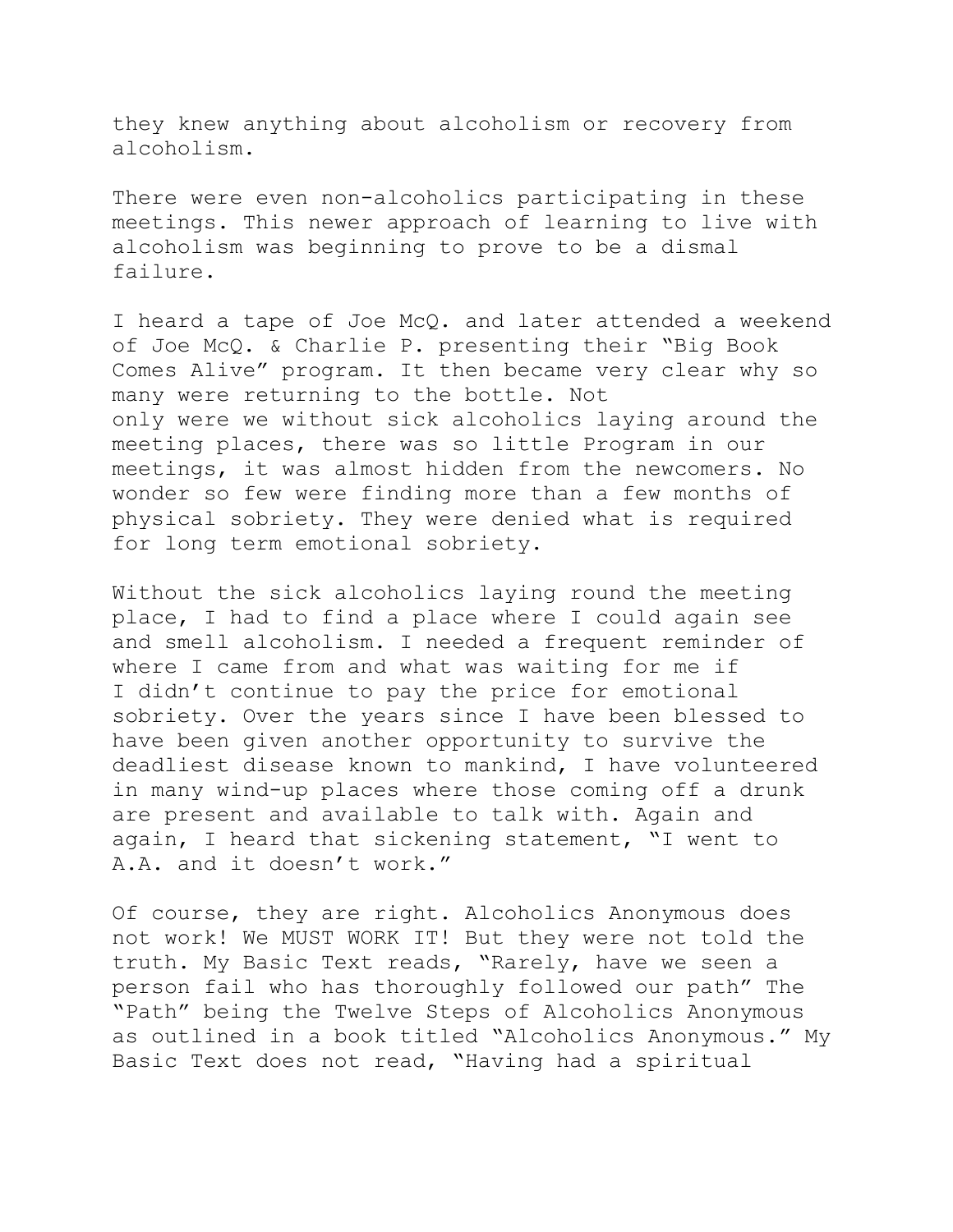they knew anything about alcoholism or recovery from alcoholism.

There were even non-alcoholics participating in these meetings. This newer approach of learning to live with alcoholism was beginning to prove to be a dismal failure.

I heard a tape of Joe McQ. and later attended a weekend of Joe McQ. & Charlie P. presenting their "Big Book Comes Alive" program. It then became very clear why so many were returning to the bottle. Not only were we without sick alcoholics laying around the meeting places, there was so little Program in our meetings, it was almost hidden from the newcomers. No wonder so few were finding more than a few months of physical sobriety. They were denied what is required for long term emotional sobriety.

Without the sick alcoholics laying round the meeting place, I had to find a place where I could again see and smell alcoholism. I needed a frequent reminder of where I came from and what was waiting for me if I didn't continue to pay the price for emotional sobriety. Over the years since I have been blessed to have been given another opportunity to survive the deadliest disease known to mankind, I have volunteered in many wind-up places where those coming off a drunk are present and available to talk with. Again and again, I heard that sickening statement, "I went to A.A. and it doesn't work."

Of course, they are right. Alcoholics Anonymous does not work! We MUST WORK IT! But they were not told the truth. My Basic Text reads, "Rarely, have we seen a person fail who has thoroughly followed our path" The "Path" being the Twelve Steps of Alcoholics Anonymous as outlined in a book titled "Alcoholics Anonymous." My Basic Text does not read, "Having had a spiritual